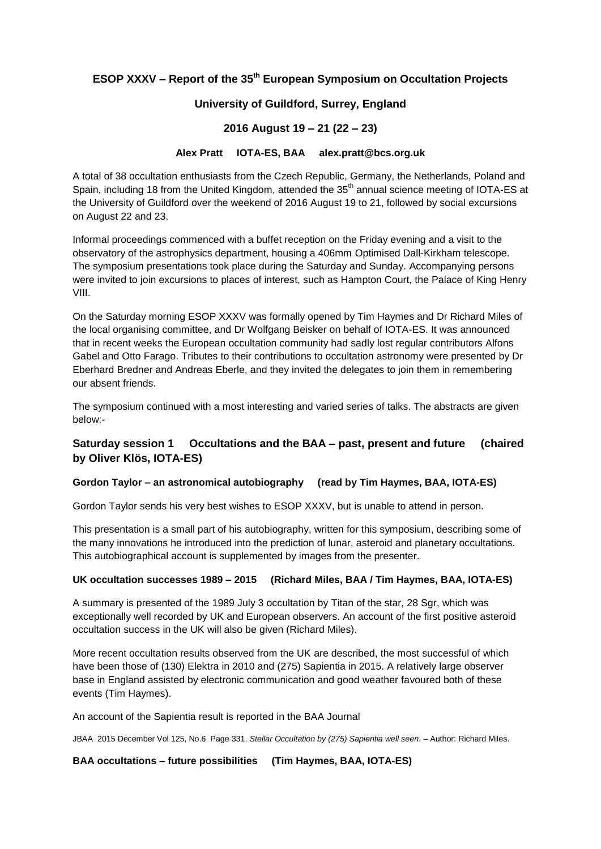# **ESOP XXXV – Report of the 35th European Symposium on Occultation Projects**

# **University of Guildford, Surrey, England**

# **2016 August 19 – 21 (22 – 23)**

#### **Alex Pratt IOTA-ES, BAA alex.pratt@bcs.org.uk**

A total of 38 occultation enthusiasts from the Czech Republic, Germany, the Netherlands, Poland and Spain, including 18 from the United Kingdom, attended the 35<sup>th</sup> annual science meeting of IOTA-ES at the University of Guildford over the weekend of 2016 August 19 to 21, followed by social excursions on August 22 and 23.

Informal proceedings commenced with a buffet reception on the Friday evening and a visit to the observatory of the astrophysics department, housing a 406mm Optimised Dall-Kirkham telescope. The symposium presentations took place during the Saturday and Sunday. Accompanying persons were invited to join excursions to places of interest, such as Hampton Court, the Palace of King Henry VIII.

On the Saturday morning ESOP XXXV was formally opened by Tim Haymes and Dr Richard Miles of the local organising committee, and Dr Wolfgang Beisker on behalf of IOTA-ES. It was announced that in recent weeks the European occultation community had sadly lost regular contributors Alfons Gabel and Otto Farago. Tributes to their contributions to occultation astronomy were presented by Dr Eberhard Bredner and Andreas Eberle, and they invited the delegates to join them in remembering our absent friends.

The symposium continued with a most interesting and varied series of talks. The abstracts are given below:-

# **Saturday session 1 Occultations and the BAA – past, present and future (chaired by Oliver Klös, IOTA-ES)**

### **Gordon Taylor – an astronomical autobiography (read by Tim Haymes, BAA, IOTA-ES)**

Gordon Taylor sends his very best wishes to ESOP XXXV, but is unable to attend in person.

This presentation is a small part of his autobiography, written for this symposium, describing some of the many innovations he introduced into the prediction of lunar, asteroid and planetary occultations. This autobiographical account is supplemented by images from the presenter.

### **UK occultation successes 1989 – 2015 (Richard Miles, BAA / Tim Haymes, BAA, IOTA-ES)**

A summary is presented of the 1989 July 3 occultation by Titan of the star, 28 Sgr, which was exceptionally well recorded by UK and European observers. An account of the first positive asteroid occultation success in the UK will also be given (Richard Miles).

More recent occultation results observed from the UK are described, the most successful of which have been those of (130) Elektra in 2010 and (275) Sapientia in 2015. A relatively large observer base in England assisted by electronic communication and good weather favoured both of these events (Tim Haymes).

An account of the Sapientia result is reported in the BAA Journal

JBAA 2015 December Vol 125, No.6 Page 331. *Stellar Occultation by (275) Sapientia well seen*. – Author: Richard Miles.

**BAA occultations – future possibilities (Tim Haymes, BAA, IOTA-ES)**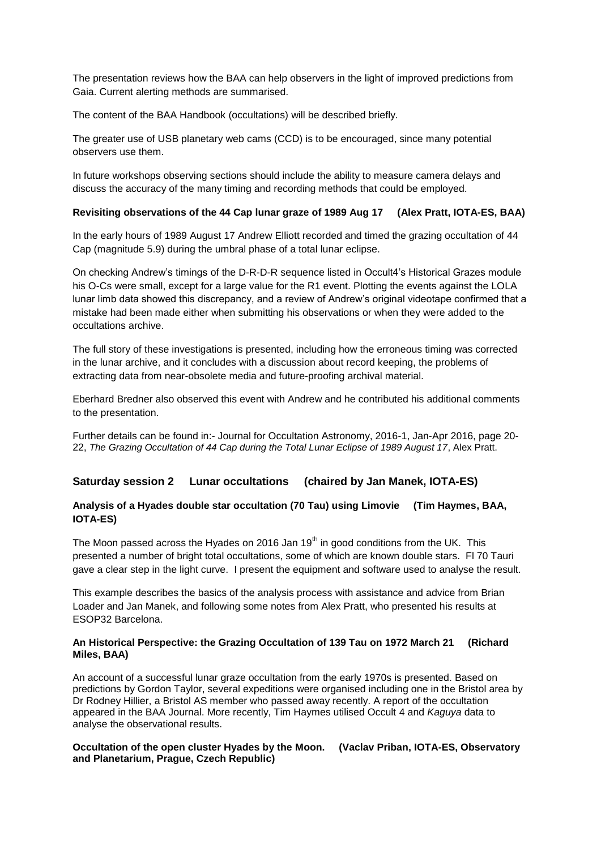The presentation reviews how the BAA can help observers in the light of improved predictions from Gaia. Current alerting methods are summarised.

The content of the BAA Handbook (occultations) will be described briefly.

The greater use of USB planetary web cams (CCD) is to be encouraged, since many potential observers use them.

In future workshops observing sections should include the ability to measure camera delays and discuss the accuracy of the many timing and recording methods that could be employed.

#### **Revisiting observations of the 44 Cap lunar graze of 1989 Aug 17 (Alex Pratt, IOTA-ES, BAA)**

In the early hours of 1989 August 17 Andrew Elliott recorded and timed the grazing occultation of 44 Cap (magnitude 5.9) during the umbral phase of a total lunar eclipse.

On checking Andrew's timings of the D-R-D-R sequence listed in Occult4's Historical Grazes module his O-Cs were small, except for a large value for the R1 event. Plotting the events against the LOLA lunar limb data showed this discrepancy, and a review of Andrew's original videotape confirmed that a mistake had been made either when submitting his observations or when they were added to the occultations archive.

The full story of these investigations is presented, including how the erroneous timing was corrected in the lunar archive, and it concludes with a discussion about record keeping, the problems of extracting data from near-obsolete media and future-proofing archival material.

Eberhard Bredner also observed this event with Andrew and he contributed his additional comments to the presentation.

Further details can be found in:- Journal for Occultation Astronomy, 2016-1, Jan-Apr 2016, page 20- 22, *The Grazing Occultation of 44 Cap during the Total Lunar Eclipse of 1989 August 17*, Alex Pratt.

### **Saturday session 2 Lunar occultations (chaired by Jan Manek, IOTA-ES)**

### **Analysis of a Hyades double star occultation (70 Tau) using Limovie (Tim Haymes, BAA, IOTA-ES)**

The Moon passed across the Hyades on 2016 Jan  $19<sup>th</sup>$  in good conditions from the UK. This presented a number of bright total occultations, some of which are known double stars. Fl 70 Tauri gave a clear step in the light curve. I present the equipment and software used to analyse the result.

This example describes the basics of the analysis process with assistance and advice from Brian Loader and Jan Manek, and following some notes from Alex Pratt, who presented his results at ESOP32 Barcelona.

#### **An Historical Perspective: the Grazing Occultation of 139 Tau on 1972 March 21 (Richard Miles, BAA)**

An account of a successful lunar graze occultation from the early 1970s is presented. Based on predictions by Gordon Taylor, several expeditions were organised including one in the Bristol area by Dr Rodney Hillier, a Bristol AS member who passed away recently. A report of the occultation appeared in the BAA Journal. More recently, Tim Haymes utilised Occult 4 and *Kaguya* data to analyse the observational results.

#### **Occultation of the open cluster Hyades by the Moon. (Vaclav Priban, IOTA-ES, Observatory and Planetarium, Prague, Czech Republic)**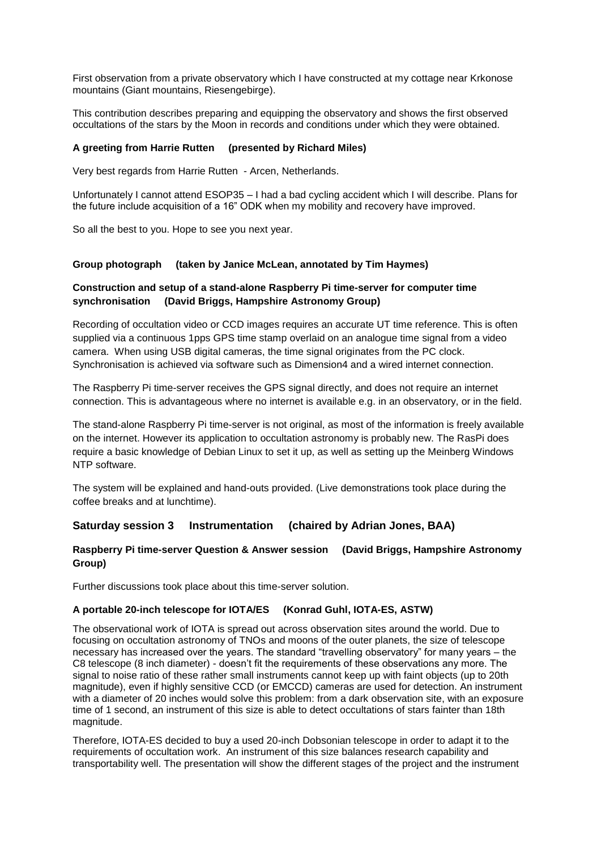First observation from a private observatory which I have constructed at my cottage near Krkonose mountains (Giant mountains, Riesengebirge).

This contribution describes preparing and equipping the observatory and shows the first observed occultations of the stars by the Moon in records and conditions under which they were obtained.

### **A greeting from Harrie Rutten (presented by Richard Miles)**

Very best regards from Harrie Rutten - Arcen, Netherlands.

Unfortunately I cannot attend ESOP35 – I had a bad cycling accident which I will describe. Plans for the future include acquisition of a 16" ODK when my mobility and recovery have improved.

So all the best to you. Hope to see you next year.

#### **Group photograph (taken by Janice McLean, annotated by Tim Haymes)**

### **Construction and setup of a stand-alone Raspberry Pi time-server for computer time synchronisation (David Briggs, Hampshire Astronomy Group)**

Recording of occultation video or CCD images requires an accurate UT time reference. This is often supplied via a continuous 1pps GPS time stamp overlaid on an analogue time signal from a video camera. When using USB digital cameras, the time signal originates from the PC clock. Synchronisation is achieved via software such as Dimension4 and a wired internet connection.

The Raspberry Pi time-server receives the GPS signal directly, and does not require an internet connection. This is advantageous where no internet is available e.g. in an observatory, or in the field.

The stand-alone Raspberry Pi time-server is not original, as most of the information is freely available on the internet. However its application to occultation astronomy is probably new. The RasPi does require a basic knowledge of Debian Linux to set it up, as well as setting up the Meinberg Windows NTP software.

The system will be explained and hand-outs provided. (Live demonstrations took place during the coffee breaks and at lunchtime).

### **Saturday session 3 Instrumentation (chaired by Adrian Jones, BAA)**

### **Raspberry Pi time-server Question & Answer session (David Briggs, Hampshire Astronomy Group)**

Further discussions took place about this time-server solution.

### **A portable 20-inch telescope for IOTA/ES (Konrad Guhl, IOTA-ES, ASTW)**

The observational work of IOTA is spread out across observation sites around the world. Due to focusing on occultation astronomy of TNOs and moons of the outer planets, the size of telescope necessary has increased over the years. The standard "travelling observatory" for many years – the C8 telescope (8 inch diameter) - doesn't fit the requirements of these observations any more. The signal to noise ratio of these rather small instruments cannot keep up with faint objects (up to 20th magnitude), even if highly sensitive CCD (or EMCCD) cameras are used for detection. An instrument with a diameter of 20 inches would solve this problem: from a dark observation site, with an exposure time of 1 second, an instrument of this size is able to detect occultations of stars fainter than 18th magnitude.

Therefore, IOTA-ES decided to buy a used 20-inch Dobsonian telescope in order to adapt it to the requirements of occultation work. An instrument of this size balances research capability and transportability well. The presentation will show the different stages of the project and the instrument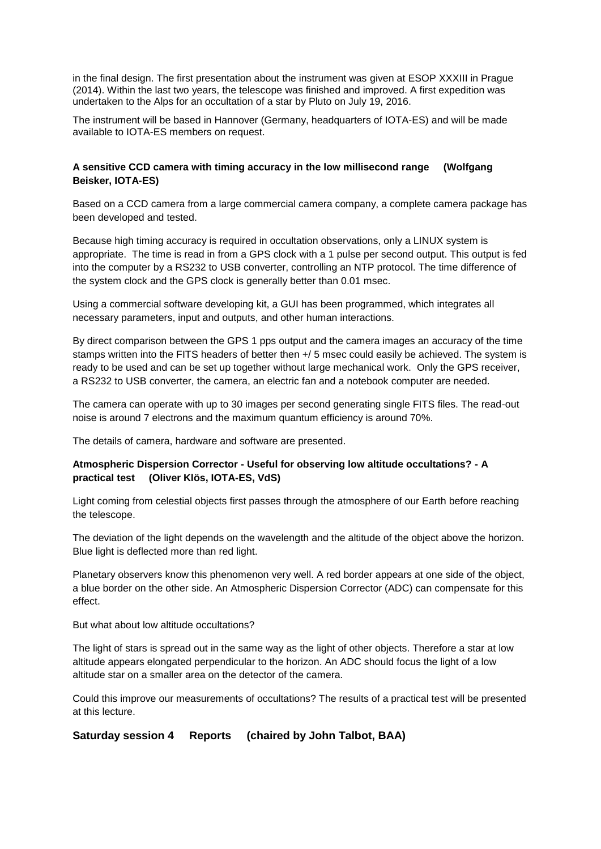in the final design. The first presentation about the instrument was given at ESOP XXXIII in Prague (2014). Within the last two years, the telescope was finished and improved. A first expedition was undertaken to the Alps for an occultation of a star by Pluto on July 19, 2016.

The instrument will be based in Hannover (Germany, headquarters of IOTA-ES) and will be made available to IOTA-ES members on request.

### **A sensitive CCD camera with timing accuracy in the low millisecond range (Wolfgang Beisker, IOTA-ES)**

Based on a CCD camera from a large commercial camera company, a complete camera package has been developed and tested.

Because high timing accuracy is required in occultation observations, only a LINUX system is appropriate. The time is read in from a GPS clock with a 1 pulse per second output. This output is fed into the computer by a RS232 to USB converter, controlling an NTP protocol. The time difference of the system clock and the GPS clock is generally better than 0.01 msec.

Using a commercial software developing kit, a GUI has been programmed, which integrates all necessary parameters, input and outputs, and other human interactions.

By direct comparison between the GPS 1 pps output and the camera images an accuracy of the time stamps written into the FITS headers of better then +/ 5 msec could easily be achieved. The system is ready to be used and can be set up together without large mechanical work. Only the GPS receiver, a RS232 to USB converter, the camera, an electric fan and a notebook computer are needed.

The camera can operate with up to 30 images per second generating single FITS files. The read-out noise is around 7 electrons and the maximum quantum efficiency is around 70%.

The details of camera, hardware and software are presented.

### **Atmospheric Dispersion Corrector - Useful for observing low altitude occultations? - A practical test (Oliver Klös, IOTA-ES, VdS)**

Light coming from celestial objects first passes through the atmosphere of our Earth before reaching the telescope.

The deviation of the light depends on the wavelength and the altitude of the object above the horizon. Blue light is deflected more than red light.

Planetary observers know this phenomenon very well. A red border appears at one side of the object, a blue border on the other side. An Atmospheric Dispersion Corrector (ADC) can compensate for this effect.

But what about low altitude occultations?

The light of stars is spread out in the same way as the light of other objects. Therefore a star at low altitude appears elongated perpendicular to the horizon. An ADC should focus the light of a low altitude star on a smaller area on the detector of the camera.

Could this improve our measurements of occultations? The results of a practical test will be presented at this lecture.

**Saturday session 4 Reports (chaired by John Talbot, BAA)**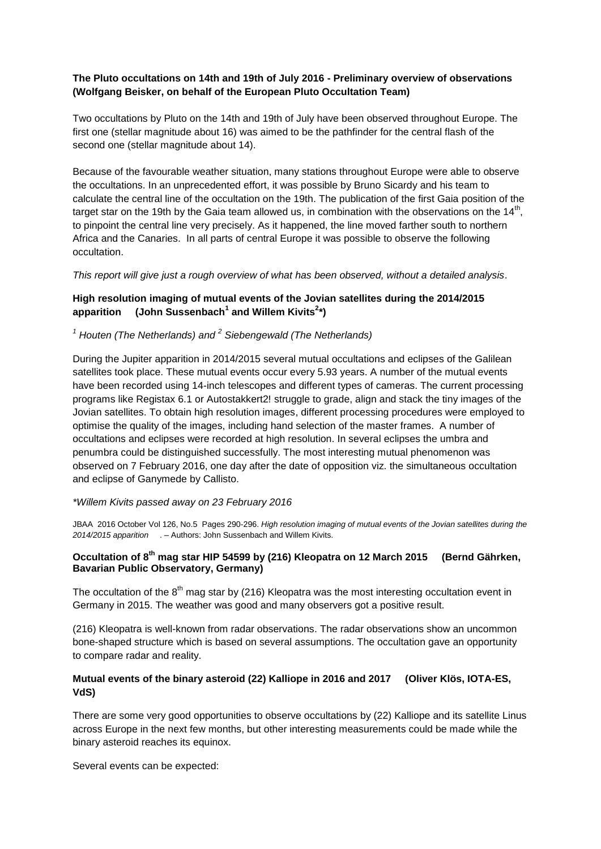### **The Pluto occultations on 14th and 19th of July 2016 - Preliminary overview of observations (Wolfgang Beisker, on behalf of the European Pluto Occultation Team)**

Two occultations by Pluto on the 14th and 19th of July have been observed throughout Europe. The first one (stellar magnitude about 16) was aimed to be the pathfinder for the central flash of the second one (stellar magnitude about 14).

Because of the favourable weather situation, many stations throughout Europe were able to observe the occultations. In an unprecedented effort, it was possible by Bruno Sicardy and his team to calculate the central line of the occultation on the 19th. The publication of the first Gaia position of the target star on the 19th by the Gaia team allowed us, in combination with the observations on the 14<sup>th</sup>, to pinpoint the central line very precisely. As it happened, the line moved farther south to northern Africa and the Canaries. In all parts of central Europe it was possible to observe the following occultation.

*This report will give just a rough overview of what has been observed, without a detailed analysis*.

# **High resolution imaging of mutual events of the Jovian satellites during the 2014/2015 apparition (John Sussenbach<sup>1</sup> and Willem Kivits<sup>2</sup> \*)**

# *<sup>1</sup> Houten (The Netherlands) and <sup>2</sup> Siebengewald (The Netherlands)*

During the Jupiter apparition in 2014/2015 several mutual occultations and eclipses of the Galilean satellites took place. These mutual events occur every 5.93 years. A number of the mutual events have been recorded using 14-inch telescopes and different types of cameras. The current processing programs like Registax 6.1 or Autostakkert2! struggle to grade, align and stack the tiny images of the Jovian satellites. To obtain high resolution images, different processing procedures were employed to optimise the quality of the images, including hand selection of the master frames. A number of occultations and eclipses were recorded at high resolution. In several eclipses the umbra and penumbra could be distinguished successfully. The most interesting mutual phenomenon was observed on 7 February 2016, one day after the date of opposition viz. the simultaneous occultation and eclipse of Ganymede by Callisto.

### *\*Willem Kivits passed away on 23 February 2016*

JBAA 2016 October Vol 126, No.5 Pages 290-296. *High resolution imaging of mutual events of the Jovian satellites during the 2014/2015 apparition*. – Authors: John Sussenbach and Willem Kivits.

### **Occultation of 8th mag star HIP 54599 by (216) Kleopatra on 12 March 2015 (Bernd Gährken, Bavarian Public Observatory, Germany)**

The occultation of the 8<sup>th</sup> mag star by (216) Kleopatra was the most interesting occultation event in Germany in 2015. The weather was good and many observers got a positive result.

(216) Kleopatra is well-known from radar observations. The radar observations show an uncommon bone-shaped structure which is based on several assumptions. The occultation gave an opportunity to compare radar and reality.

# **Mutual events of the binary asteroid (22) Kalliope in 2016 and 2017 (Oliver Klös, IOTA-ES, VdS)**

There are some very good opportunities to observe occultations by (22) Kalliope and its satellite Linus across Europe in the next few months, but other interesting measurements could be made while the binary asteroid reaches its equinox.

Several events can be expected: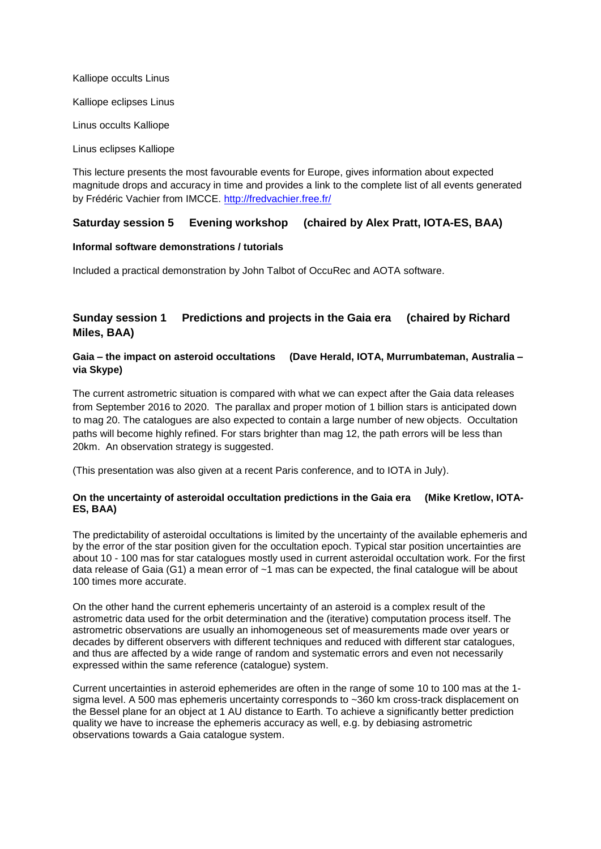Kalliope occults Linus

Kalliope eclipses Linus

Linus occults Kalliope

Linus eclipses Kalliope

This lecture presents the most favourable events for Europe, gives information about expected magnitude drops and accuracy in time and provides a link to the complete list of all events generated by Frédéric Vachier from IMCCE. <http://fredvachier.free.fr/>

# **Saturday session 5 Evening workshop (chaired by Alex Pratt, IOTA-ES, BAA)**

#### **Informal software demonstrations / tutorials**

Included a practical demonstration by John Talbot of OccuRec and AOTA software.

# **Sunday session 1 Predictions and projects in the Gaia era (chaired by Richard Miles, BAA)**

# **Gaia – the impact on asteroid occultations (Dave Herald, IOTA, Murrumbateman, Australia – via Skype)**

The current astrometric situation is compared with what we can expect after the Gaia data releases from September 2016 to 2020. The parallax and proper motion of 1 billion stars is anticipated down to mag 20. The catalogues are also expected to contain a large number of new objects. Occultation paths will become highly refined. For stars brighter than mag 12, the path errors will be less than 20km. An observation strategy is suggested.

(This presentation was also given at a recent Paris conference, and to IOTA in July).

#### **On the uncertainty of asteroidal occultation predictions in the Gaia era (Mike Kretlow, IOTA-ES, BAA)**

The predictability of asteroidal occultations is limited by the uncertainty of the available ephemeris and by the error of the star position given for the occultation epoch. Typical star position uncertainties are about 10 - 100 mas for star catalogues mostly used in current asteroidal occultation work. For the first data release of Gaia (G1) a mean error of ~1 mas can be expected, the final catalogue will be about 100 times more accurate.

On the other hand the current ephemeris uncertainty of an asteroid is a complex result of the astrometric data used for the orbit determination and the (iterative) computation process itself. The astrometric observations are usually an inhomogeneous set of measurements made over years or decades by different observers with different techniques and reduced with different star catalogues, and thus are affected by a wide range of random and systematic errors and even not necessarily expressed within the same reference (catalogue) system.

Current uncertainties in asteroid ephemerides are often in the range of some 10 to 100 mas at the 1 sigma level. A 500 mas ephemeris uncertainty corresponds to ~360 km cross-track displacement on the Bessel plane for an object at 1 AU distance to Earth. To achieve a significantly better prediction quality we have to increase the ephemeris accuracy as well, e.g. by debiasing astrometric observations towards a Gaia catalogue system.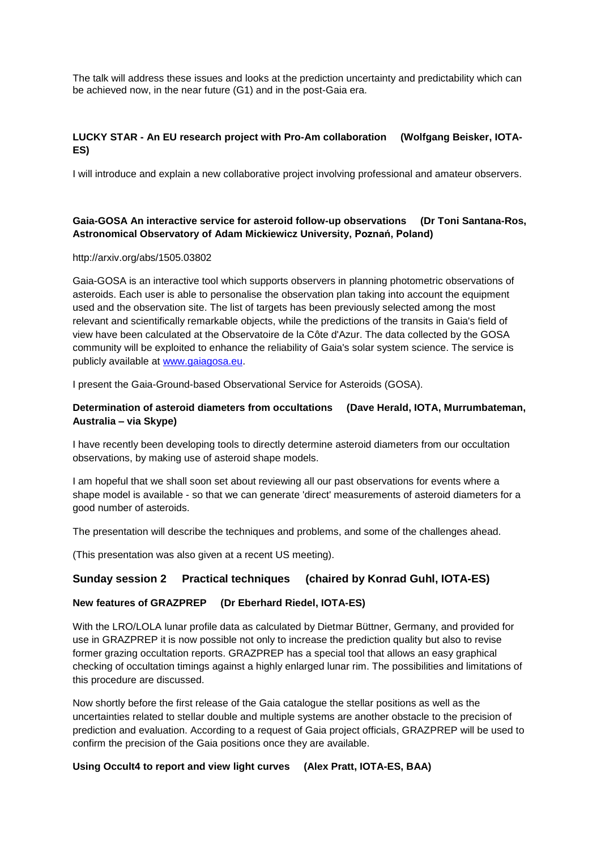The talk will address these issues and looks at the prediction uncertainty and predictability which can be achieved now, in the near future (G1) and in the post-Gaia era.

# **LUCKY STAR - An EU research project with Pro-Am collaboration (Wolfgang Beisker, IOTA-ES)**

I will introduce and explain a new collaborative project involving professional and amateur observers.

# **Gaia-GOSA An interactive service for asteroid follow-up observations (Dr Toni Santana-Ros, Astronomical Observatory of [Adam Mickiewicz University,](https://www.researchgate.net/institution/Adam_Mickiewicz_University) Poznań, Poland)**

#### http://arxiv.org/abs/1505.03802

Gaia-GOSA is an interactive tool which supports observers in planning photometric observations of asteroids. Each user is able to personalise the observation plan taking into account the equipment used and the observation site. The list of targets has been previously selected among the most relevant and scientifically remarkable objects, while the predictions of the transits in Gaia's field of view have been calculated at the Observatoire de la Côte d'Azur. The data collected by the GOSA community will be exploited to enhance the reliability of Gaia's solar system science. The service is publicly available at [www.gaiagosa.eu.](http://www.gaiagosa.eu/)

I present the Gaia-Ground-based Observational Service for Asteroids (GOSA).

# **Determination of asteroid diameters from occultations (Dave Herald, IOTA, Murrumbateman, Australia – via Skype)**

I have recently been developing tools to directly determine asteroid diameters from our occultation observations, by making use of asteroid shape models.

I am hopeful that we shall soon set about reviewing all our past observations for events where a shape model is available - so that we can generate 'direct' measurements of asteroid diameters for a good number of asteroids.

The presentation will describe the techniques and problems, and some of the challenges ahead.

(This presentation was also given at a recent US meeting).

# **Sunday session 2 Practical techniques (chaired by Konrad Guhl, IOTA-ES)**

### **New features of GRAZPREP (Dr Eberhard Riedel, IOTA-ES)**

With the LRO/LOLA lunar profile data as calculated by Dietmar Büttner, Germany, and provided for use in GRAZPREP it is now possible not only to increase the prediction quality but also to revise former grazing occultation reports. GRAZPREP has a special tool that allows an easy graphical checking of occultation timings against a highly enlarged lunar rim. The possibilities and limitations of this procedure are discussed.

Now shortly before the first release of the Gaia catalogue the stellar positions as well as the uncertainties related to stellar double and multiple systems are another obstacle to the precision of prediction and evaluation. According to a request of Gaia project officials, GRAZPREP will be used to confirm the precision of the Gaia positions once they are available.

### **Using Occult4 to report and view light curves (Alex Pratt, IOTA-ES, BAA)**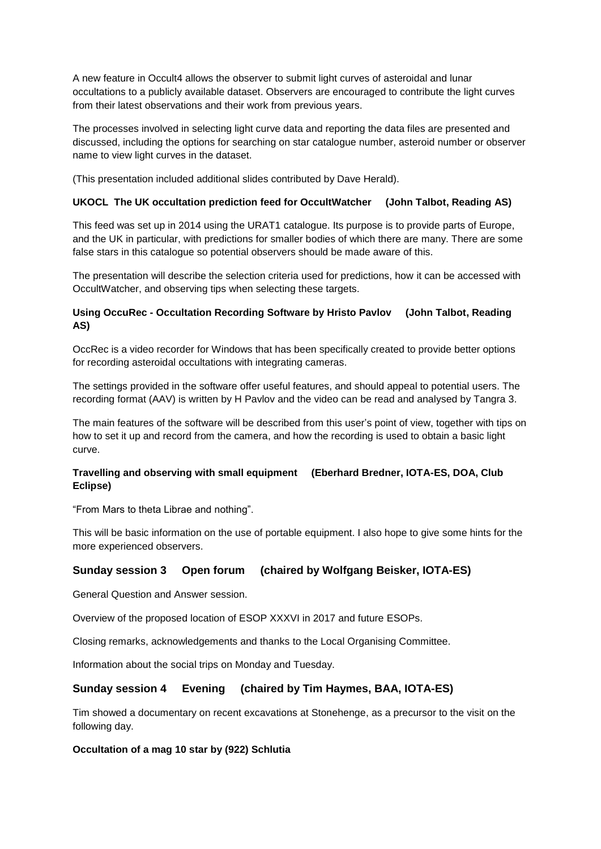A new feature in Occult4 allows the observer to submit light curves of asteroidal and lunar occultations to a publicly available dataset. Observers are encouraged to contribute the light curves from their latest observations and their work from previous years.

The processes involved in selecting light curve data and reporting the data files are presented and discussed, including the options for searching on star catalogue number, asteroid number or observer name to view light curves in the dataset.

(This presentation included additional slides contributed by Dave Herald).

### **UKOCL The UK occultation prediction feed for OccultWatcher (John Talbot, Reading AS)**

This feed was set up in 2014 using the URAT1 catalogue. Its purpose is to provide parts of Europe, and the UK in particular, with predictions for smaller bodies of which there are many. There are some false stars in this catalogue so potential observers should be made aware of this.

The presentation will describe the selection criteria used for predictions, how it can be accessed with OccultWatcher, and observing tips when selecting these targets.

# **Using OccuRec - Occultation Recording Software by Hristo Pavlov (John Talbot, Reading AS)**

OccRec is a video recorder for Windows that has been specifically created to provide better options for recording asteroidal occultations with integrating cameras.

The settings provided in the software offer useful features, and should appeal to potential users. The recording format (AAV) is written by H Pavlov and the video can be read and analysed by Tangra 3.

The main features of the software will be described from this user's point of view, together with tips on how to set it up and record from the camera, and how the recording is used to obtain a basic light curve.

# **Travelling and observing with small equipment (Eberhard Bredner, IOTA-ES, DOA, Club Eclipse)**

"From Mars to theta Librae and nothing".

This will be basic information on the use of portable equipment. I also hope to give some hints for the more experienced observers.

# **Sunday session 3 Open forum (chaired by Wolfgang Beisker, IOTA-ES)**

General Question and Answer session.

Overview of the proposed location of ESOP XXXVI in 2017 and future ESOPs.

Closing remarks, acknowledgements and thanks to the Local Organising Committee.

Information about the social trips on Monday and Tuesday.

# **Sunday session 4 Evening (chaired by Tim Haymes, BAA, IOTA-ES)**

Tim showed a documentary on recent excavations at Stonehenge, as a precursor to the visit on the following day.

### **Occultation of a mag 10 star by (922) Schlutia**